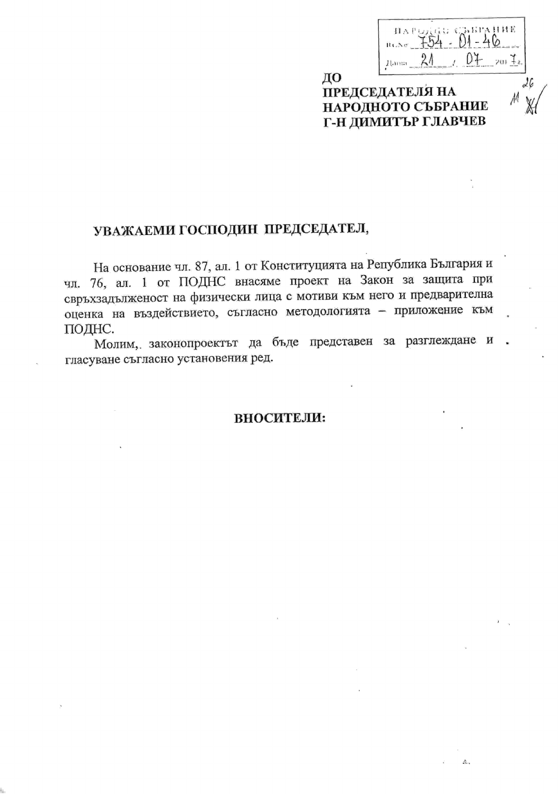| $B \in \mathbb{A}$ or | плендар съвгание |  |  |
|-----------------------|------------------|--|--|
| 181371                |                  |  |  |

 $\mathcal{A}_{\mathcal{A}}$ 

## ДО **ПРЕДСЕДАТЕЛЯ НА** НАРОДНОТО СЪБРАНИЕ Г-Н ДИМИТЪР ГЛАВЧЕВ

# УВАЖАЕМИ ГОСПОДИН ПРЕДСЕДАТЕЛ,

На основание чл. 87, ал. 1 от Конституцията на Република България и чл. 76, ал. 1 от ПОДНС внасяме проект на Закон за защита при свръхзадълженост на физически лица с мотиви към него и предварителна оценка на въздействието, съгласно методологията - приложение към ПОДНС.

Молим, законопроектът да бъде представен за разглеждане и . гласуване съгласно установения ред.

### ВНОСИТЕЛИ: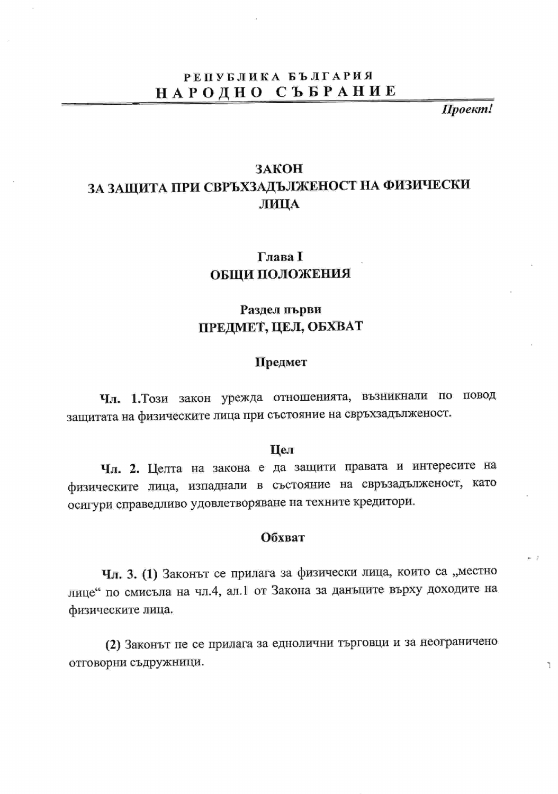# РЕПУБЛИКА БЪЛГАРИЯ НАРОДНО СЪБРАНИЕ

Проект!

 $\mathbb{I}$ 

# ЗАКОН ЗА ЗАЩИТА ПРИ СВРЪХЗАДЪЛЖЕНОСТ НА ФИЗИЧЕСКИ ЛИЦА

## Глава I ОБЩИ ПОЛОЖЕНИЯ

## Раздел първи ПРЕДМЕТ, ЦЕЛ, ОБХВАТ

## Предмет

Чл. 1. Този закон урежда отношенията, възникнали по повод защитата на физическите лица при състояние на свръхзадълженост.

#### Цел

Чл. 2. Целта на закона е да защити правата и интересите на физическите лица, изпаднали в състояние на свръзадълженост, като осигури справедливо удовлетворяване на техните кредитори.

## Обхват

Чл. 3. (1) Законът се прилага за физически лица, които са "местно лице" по смисъла на чл.4, ал.1 от Закона за данъците върху доходите на физическите лица.

(2) Законът не се прилага за еднолични търговци и за неограничено отговорни съдружници.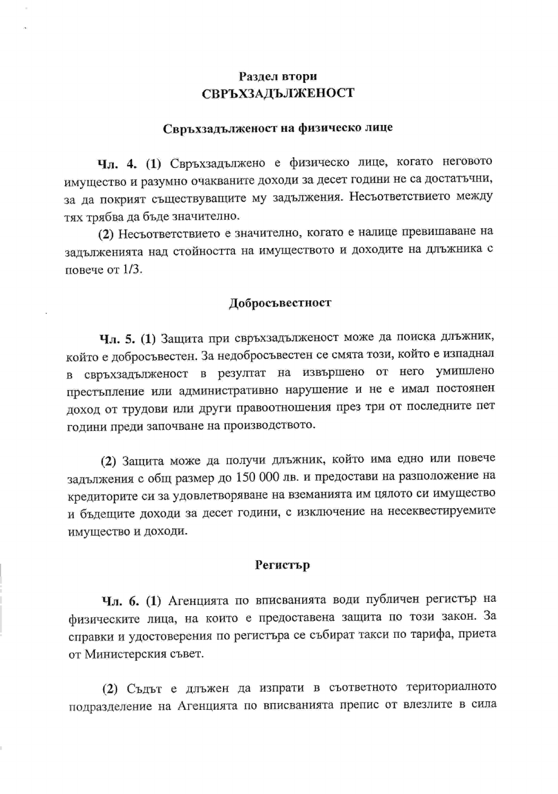## Раздел втори СВРЪХЗАДЪЛЖЕНОСТ

## Свръхзадълженост на физическо лице

Чл. 4. (1) Свръхзадължено е физическо лице, когато неговото имущество и разумно очакваните доходи за десет години не са достатъчни, за да покрият съществуващите му задължения. Несъответствието между тях трябва да бъде значително.

(2) Несъответствието е значително, когато е налице превишаване на задълженията над стойността на имуществото и доходите на длъжника с повече от  $1/3$ .

#### Добросъвестност

Чл. 5. (1) Защита при свръхзадълженост може да поиска длъжник, който е добросъвестен. За недобросъвестен се смята този, който е изпаднал в свръхзадълженост в резултат на извършено от него умишлено престъпление или административно нарушение и не е имал постоянен доход от трудови или други правоотношения през три от последните пет години преди започване на производството.

(2) Защита може да получи длъжник, който има едно или повече задължения с общ размер до 150 000 лв. и предостави на разположение на кредиторите си за удовлетворяване на вземанията им цялото си имущество и бъдещите доходи за десет години, с изключение на несеквестируемите имущество и доходи.

### Регистър

Чл. 6. (1) Агенцията по вписванията води публичен регистър на физическите лица, на които е предоставена защита по този закон. За справки и удостоверения по регистъра се събират такси по тарифа, приета от Министерския съвет.

(2) Съдът е длъжен да изпрати в съответното териториалното подразделение на Агенцията по вписванията препис от влезлите в сила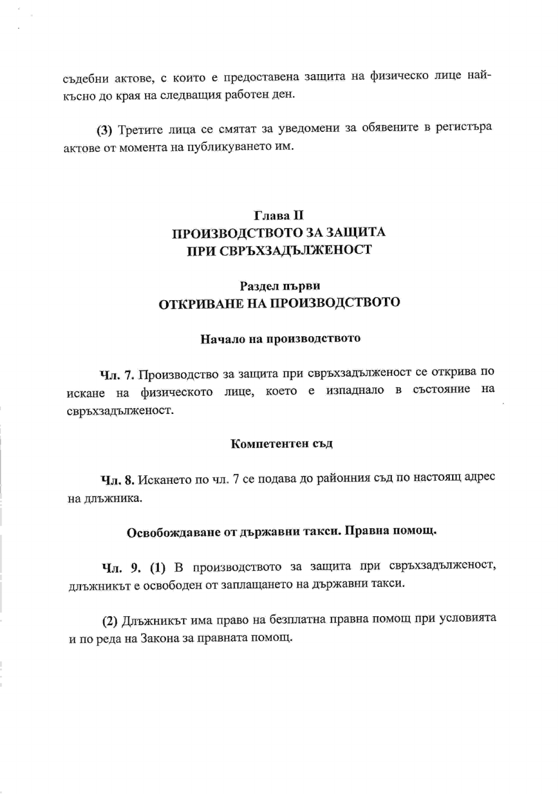съдебни актове, с които е предоставена защита на физическо лице найкъсно до края на следващия работен ден.

(3) Третите лица се смятат за уведомени за обявените в регистъра актове от момента на публикуването им.

# Глава П ПРОИЗВОДСТВОТО ЗА ЗАЩИТА ПРИ СВРЪХЗАДЪЛЖЕНОСТ

# Раздел първи ОТКРИВАНЕ НА ПРОИЗВОДСТВОТО

## Начало на производството

Чл. 7. Производство за защита при свръхзадълженост се открива по искане на физическото лице, което е изпаднало в състояние на свръхзадълженост.

#### Компетентен съд

Чл. 8. Искането по чл. 7 се подава до районния съд по настоящ адрес на длъжника.

# Освобождаване от държавни такси. Правна помощ.

Чл. 9. (1) В производството за защита при свръхзадълженост, длъжникът е освободен от заплащането на държавни такси.

(2) Длъжникът има право на безплатна правна помощ при условията и по реда на Закона за правната помощ.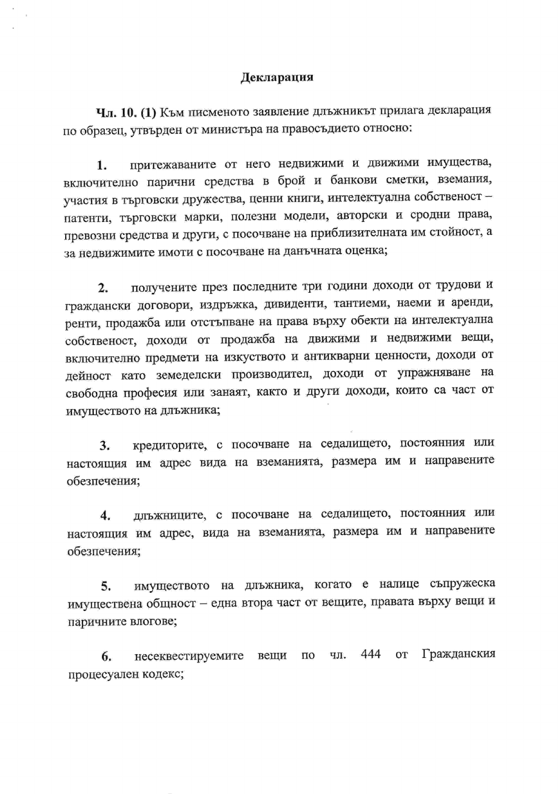### Декларация

Чл. 10. (1) Към писменото заявление длъжникът прилага декларация по образец, утвърден от министъра на правосъдието относно:

притежаваните от него недвижими и движими имущества, 1. включително парични средства в брой и банкови сметки, вземания, участия в търговски дружества, ценни книги, интелектуална собственост патенти, търговски марки, полезни модели, авторски и сродни права, превозни средства и други, с посочване на приблизителната им стойност, а за недвижимите имоти с посочване на данъчната оценка;

получените през последните три години доходи от трудови и  $2.$ граждански договори, издръжка, дивиденти, тантиеми, наеми и аренди, ренти, продажба или отстъпване на права върху обекти на интелектуална собственост, доходи от продажба на движими и недвижими вещи, включително предмети на изкуството и антикварни ценности, доходи от дейност като земеделски производител, доходи от упражняване на свободна професия или занаят, както и други доходи, които са част от имуществото на длъжника;

кредиторите, с посочване на седалището, постоянния или 3. настоящия им адрес вида на вземанията, размера им и направените обезпечения;

длъжниците, с посочване на седалището, постоянния или 4. настоящия им адрес, вида на вземанията, размера им и направените обезпечения;

имуществото на длъжника, когато е налице съпружеска 5. имуществена общност - една втора част от вещите, правата върху вещи и паричните влогове;

несеквестируемите вещи по чл. 444 Гражданския OT 6. процесуален кодекс;